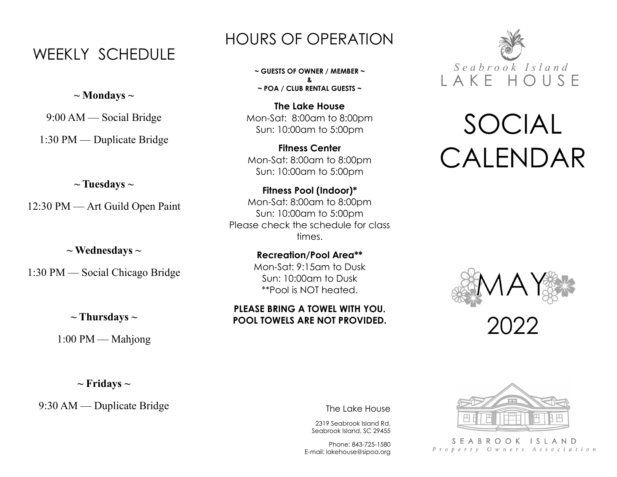## WEEKLY SCHEDULE

**~ Mondays ~**

9:00 AM — Social Bridge

1:30 PM — Duplicate Bridge

### **~ Tuesdays ~**

12:30 PM — Art Guild Open Paint

**~ Wednesdays ~**

1:30 PM — Social Chicago Bridge

### **~ Thursdays ~**

1:00 PM — Mahjong

**~ Fridays ~**

9:30 AM — Duplicate Bridge

## HOURS OF OPERATION

**~ GUESTS OF OWNER / MEMBER ~ & ~ POA / CLUB RENTAL GUESTS ~**

**The Lake House** Mon-Sat: 8:00am to 8:00pm Sun: 10:00am to 5:00pm

**Fitness Center** Mon-Sat: 8:00am to 8:00pm Sun: 10:00am to 5:00pm

**Fitness Pool (Indoor)\*** Mon-Sat: 8:00am to 8:00pm Sun: 10:00am to 5:00pm Please check the schedule for class times.

> **Recreation/Pool Area\*\*** Mon-Sat: 9:15am to Dusk Sun: 10:00am to Dusk \*\*Pool is NOT heated.

### **PLEASE BRING A TOWEL WITH YOU. POOL TOWELS ARE NOT PROVIDED.**



# SOCIAL CALENDAR



2022

The Lake House

2319 Seabrook Island Rd. Seabrook Island, SC 29455

Phone: 843-725-1580 E-mail: lakehouse@sipoa.org



SEABROOK ISLAND Property Owners Association